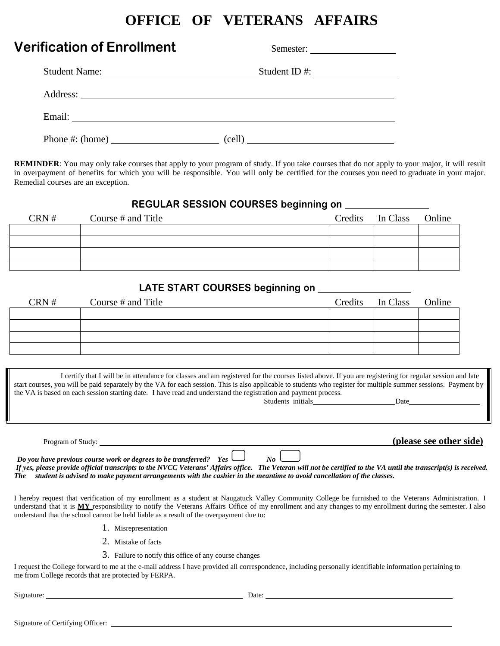# **OFFICE OF VETERANS AFFAIRS**

| <b>Verification of Enrollment</b> | Semester:     |
|-----------------------------------|---------------|
| Student Name:                     | Student ID #: |
| Address:                          |               |
|                                   |               |
|                                   | (cell)        |

**REMINDER**: You may only take courses that apply to your program of study. If you take courses that do not apply to your major, it will result in overpayment of benefits for which you will be responsible. You will only be certified for the courses you need to graduate in your major. Remedial courses are an exception.

#### **REGULAR SESSION COURSES beginning on**

| CRN# | Course # and Title | Credits In Class Online |  |
|------|--------------------|-------------------------|--|
|      |                    |                         |  |
|      |                    |                         |  |
|      |                    |                         |  |
|      |                    |                         |  |

#### **LATE START COURSES beginning on**

| CRN# | Course # and Title | Credits In Class Online |  |
|------|--------------------|-------------------------|--|
|      |                    |                         |  |
|      |                    |                         |  |
|      |                    |                         |  |
|      |                    |                         |  |

I certify that I will be in attendance for classes and am registered for the courses listed above. If you are registering for regular session and late start courses, you will be paid separately by the VA for each session. This is also applicable to students who register for multiple summer sessions. Payment by the VA is based on each session starting date. I have read and understand the registration and payment process. Students initials Date

Program of Study: **(please see other side)**

*Do you have previous course work or degrees to be transferred? Yes*  $\Box$  *No*  $\Box$ *If yes, please provide official transcripts to the NVCC Veterans' Affairs office. The Veteran will not be certified to the VA until the transcript(s) is received. The student is advised to make payment arrangements with the cashier in the meantime to avoid cancellation of the classes.*

I hereby request that verification of my enrollment as a student at Naugatuck Valley Community College be furnished to the Veterans Administration. I understand that it is **MY** responsibility to notify the Veterans Affairs Office of my enrollment and any changes to my enrollment during the semester. I also understand that the school cannot be held liable as a result of the overpayment due to:

- 1. Misrepresentation
- 2. Mistake of facts
- 3. Failure to notify this office of any course changes

I request the College forward to me at the e-mail address I have provided all correspondence, including personally identifiable information pertaining to me from College records that are protected by FERPA.

Signature: Date: Date: Date: Date: Date: Date: Date: Date: Date: Date: Date: Date: Date: Date: Date: Date: Date: Date: Date: Date: Date: Date: Date: Date: Date: Date: Date: Date: Date: Date: Date: Date: Date: Date: Date: D

Signature of Certifying Officer: